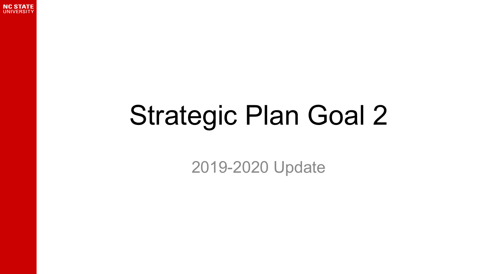

### Strategic Plan Goal 2

2019-2020 Update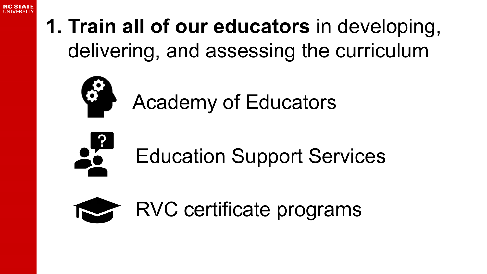

#### **1. Train all of our educators** in developing, delivering, and assessing the curriculum



Academy of Educators



Education Support Services

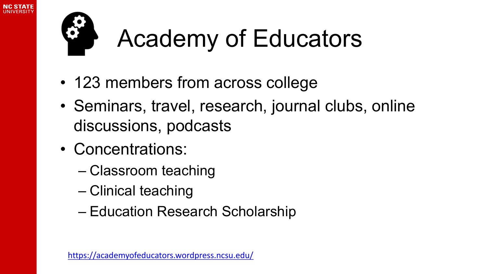

### Academy of Educators

- 123 members from across college
- Seminars, travel, research, journal clubs, online discussions, podcasts
- Concentrations:
	- Classroom teaching
	- Clinical teaching
	- Education Research Scholarship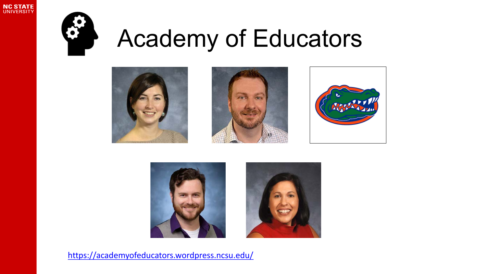



#### Academy of Educators









<https://academyofeducators.wordpress.ncsu.edu/>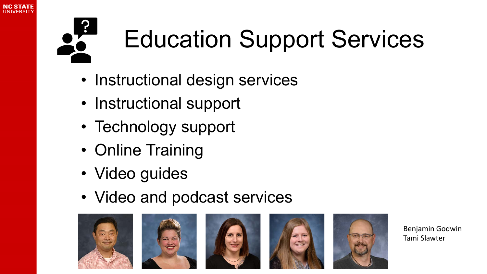



### Education Support Services

- Instructional design services
- Instructional support
- Technology support
- Online Training
- Video guides
- Video and podcast services











Benjamin Godwin Tami Slawter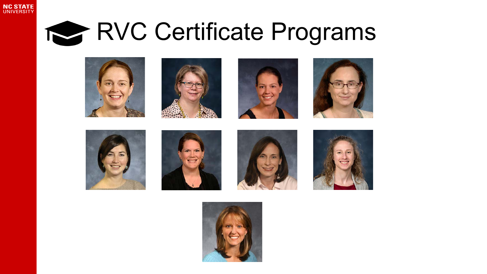

#### RVC Certificate Programs

















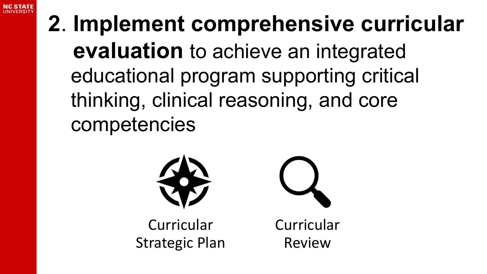

#### **2**. **Implement comprehensive curricular evaluation** to achieve an integrated educational program supporting critical thinking, clinical reasoning, and core competencies



**Curricular** Strategic Plan



**Curricular** Review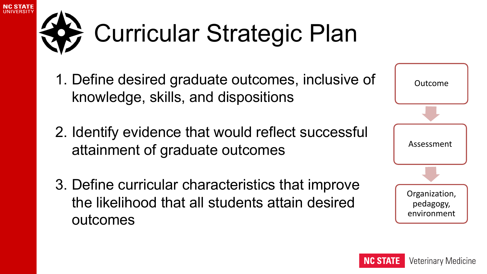# Curricular Strategic Plan

NC STATI

- 1. Define desired graduate outcomes, inclusive of knowledge, skills, and dispositions
- 2. Identify evidence that would reflect successful attainment of graduate outcomes
- 3. Define curricular characteristics that improve the likelihood that all students attain desired outcomes

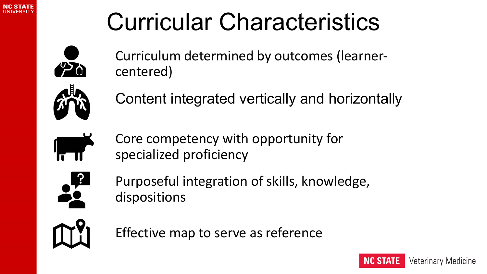

#### Curricular Characteristics



Curriculum determined by outcomes (learnercentered)

Content integrated vertically and horizontally



Core competency with opportunity for specialized proficiency



Purposeful integration of skills, knowledge, dispositions



Effective map to serve as reference

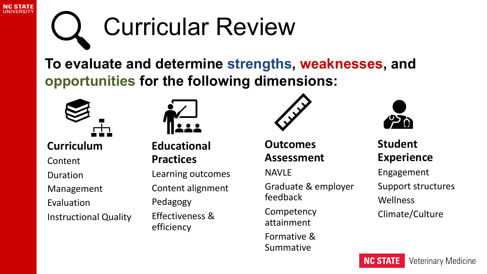

### Curricular Review

**To evaluate and determine strengths, weaknesses, and opportunities for the following dimensions:** 



**Curriculum**

Content

Duration

Management

Evaluation

Instructional Quality



**Educational Practices**

Learning outcomes Content alignment Pedagogy Effectiveness & efficiency



**Outcomes Assessment**

NAVLE

Graduate & employer feedback

Competency attainment Formative & Summative



**Student Experience** Engagement Support structures Wellness Climate/Culture

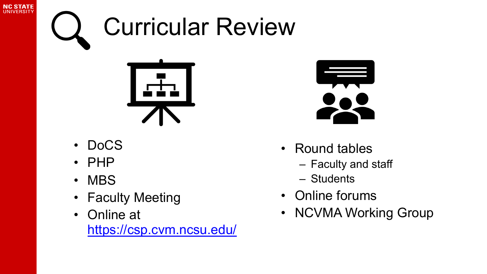## Curricular Review



- DoCS
- PHP

**NC STATE UNIVERSIT** 

- MBS
- Faculty Meeting
- Online at <https://csp.cvm.ncsu.edu/>



- Round tables
	- Faculty and staff
	- Students
- Online forums
- NCVMA Working Group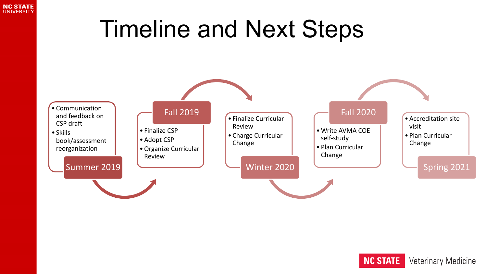

#### Timeline and Next Steps



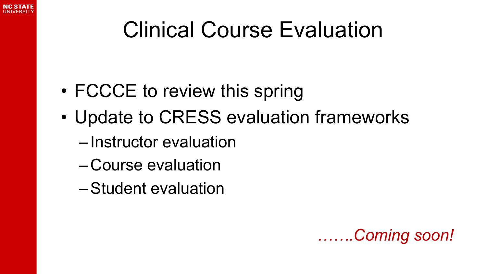

#### Clinical Course Evaluation

- FCCCE to review this spring
- Update to CRESS evaluation frameworks
	- Instructor evaluation
	- Course evaluation
	- –Student evaluation

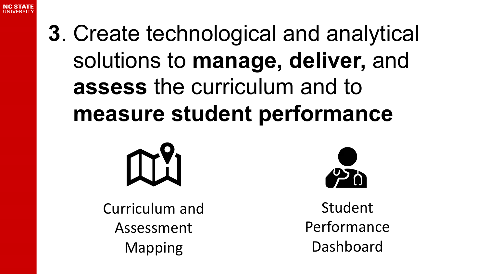

#### **3**. Create technological and analytical solutions to **manage, deliver,** and **assess** the curriculum and to **measure student performance**



Curriculum and Assessment Mapping



Student Performance Dashboard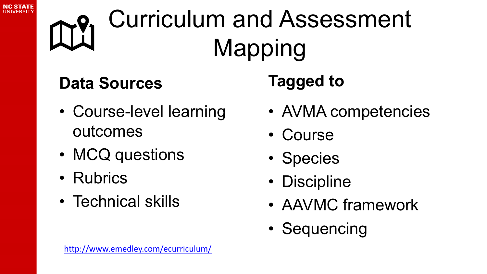



### Curriculum and Assessment Mapping

#### **Data Sources**

- Course-level learning outcomes
- MCQ questions
- Rubrics
- Technical skills

#### **Tagged to**

- AVMA competencies
- Course
- Species
- Discipline
- AAVMC framework
- Sequencing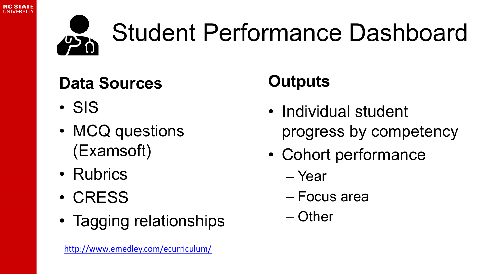



### Student Performance Dashboard

#### **Data Sources**

- SIS
- MCQ questions (Examsoft)
- Rubrics
- CRESS
- Tagging relationships

#### <http://www.emedley.com/ecurriculum/>

#### **Outputs**

- Individual student progress by competency
- Cohort performance
	- Year
	- Focus area
	- Other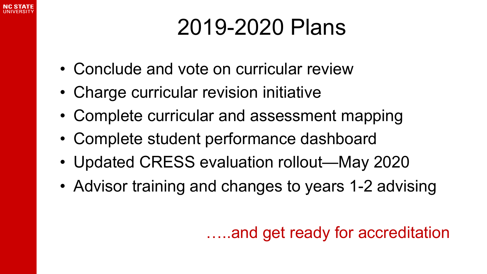#### 2019-2020 Plans

- Conclude and vote on curricular review
- Charge curricular revision initiative
- Complete curricular and assessment mapping
- Complete student performance dashboard
- Updated CRESS evaluation rollout—May 2020
- Advisor training and changes to years 1-2 advising

…..and get ready for accreditation